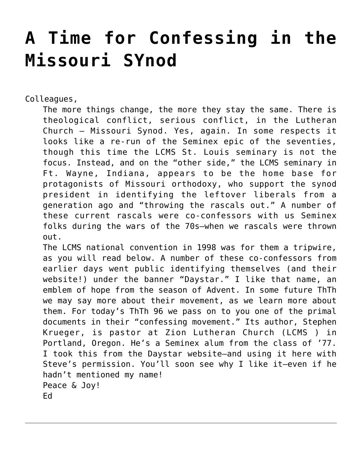## **[A Time for Confessing in the](https://crossings.org/a-time-for-confessing-in-the-missouri-synod/) [Missouri SYnod](https://crossings.org/a-time-for-confessing-in-the-missouri-synod/)**

Colleagues,

The more things change, the more they stay the same. There is theological conflict, serious conflict, in the Lutheran Church – Missouri Synod. Yes, again. In some respects it looks like a re-run of the Seminex epic of the seventies, though this time the LCMS St. Louis seminary is not the focus. Instead, and on the "other side," the LCMS seminary in Ft. Wayne, Indiana, appears to be the home base for protagonists of Missouri orthodoxy, who support the synod president in identifying the leftover liberals from a generation ago and "throwing the rascals out." A number of these current rascals were co-confessors with us Seminex folks during the wars of the 70s–when we rascals were thrown out.

The LCMS national convention in 1998 was for them a tripwire, as you will read below. A number of these co-confessors from earlier days went public identifying themselves (and their website!) under the banner "Daystar." I like that name, an emblem of hope from the season of Advent. In some future ThTh we may say more about their movement, as we learn more about them. For today's ThTh 96 we pass on to you one of the primal documents in their "confessing movement." Its author, Stephen Krueger, is pastor at Zion Lutheran Church (LCMS ) in Portland, Oregon. He's a Seminex alum from the class of '77. I took this from the Daystar website–and using it here with Steve's permission. You'll soon see why I like it–even if he hadn't mentioned my name! Peace & Joy! Ed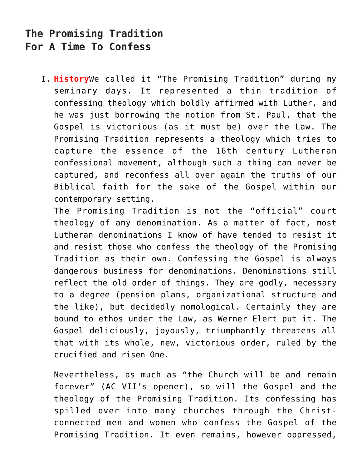## **The Promising Tradition For A Time To Confess**

I. **History**We called it "The Promising Tradition" during my seminary days. It represented a thin tradition of confessing theology which boldly affirmed with Luther, and he was just borrowing the notion from St. Paul, that the Gospel is victorious (as it must be) over the Law. The Promising Tradition represents a theology which tries to capture the essence of the 16th century Lutheran confessional movement, although such a thing can never be captured, and reconfess all over again the truths of our Biblical faith for the sake of the Gospel within our contemporary setting.

The Promising Tradition is not the "official" court theology of any denomination. As a matter of fact, most Lutheran denominations I know of have tended to resist it and resist those who confess the theology of the Promising Tradition as their own. Confessing the Gospel is always dangerous business for denominations. Denominations still reflect the old order of things. They are godly, necessary to a degree (pension plans, organizational structure and the like), but decidedly nomological. Certainly they are bound to ethos under the Law, as Werner Elert put it. The Gospel deliciously, joyously, triumphantly threatens all that with its whole, new, victorious order, ruled by the crucified and risen One.

Nevertheless, as much as "the Church will be and remain forever" (AC VII's opener), so will the Gospel and the theology of the Promising Tradition. Its confessing has spilled over into many churches through the Christconnected men and women who confess the Gospel of the Promising Tradition. It even remains, however oppressed,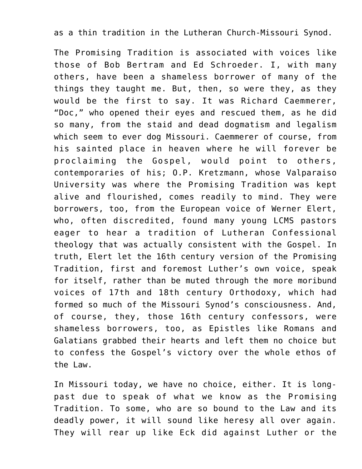## as a thin tradition in the Lutheran Church-Missouri Synod.

The Promising Tradition is associated with voices like those of Bob Bertram and Ed Schroeder. I, with many others, have been a shameless borrower of many of the things they taught me. But, then, so were they, as they would be the first to say. It was Richard Caemmerer, "Doc," who opened their eyes and rescued them, as he did so many, from the staid and dead dogmatism and legalism which seem to ever dog Missouri. Caemmerer of course, from his sainted place in heaven where he will forever be proclaiming the Gospel, would point to others, contemporaries of his; O.P. Kretzmann, whose Valparaiso University was where the Promising Tradition was kept alive and flourished, comes readily to mind. They were borrowers, too, from the European voice of Werner Elert, who, often discredited, found many young LCMS pastors eager to hear a tradition of Lutheran Confessional theology that was actually consistent with the Gospel. In truth, Elert let the 16th century version of the Promising Tradition, first and foremost Luther's own voice, speak for itself, rather than be muted through the more moribund voices of 17th and 18th century Orthodoxy, which had formed so much of the Missouri Synod's consciousness. And, of course, they, those 16th century confessors, were shameless borrowers, too, as Epistles like Romans and Galatians grabbed their hearts and left them no choice but to confess the Gospel's victory over the whole ethos of the Law.

In Missouri today, we have no choice, either. It is longpast due to speak of what we know as the Promising Tradition. To some, who are so bound to the Law and its deadly power, it will sound like heresy all over again. They will rear up like Eck did against Luther or the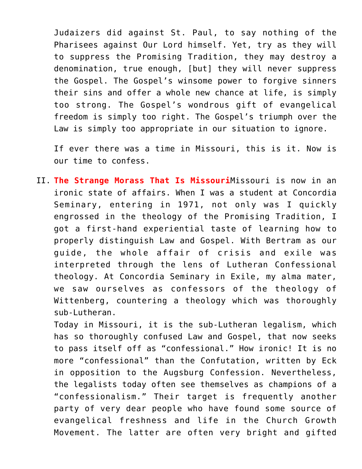Judaizers did against St. Paul, to say nothing of the Pharisees against Our Lord himself. Yet, try as they will to suppress the Promising Tradition, they may destroy a denomination, true enough, [but] they will never suppress the Gospel. The Gospel's winsome power to forgive sinners their sins and offer a whole new chance at life, is simply too strong. The Gospel's wondrous gift of evangelical freedom is simply too right. The Gospel's triumph over the Law is simply too appropriate in our situation to ignore.

If ever there was a time in Missouri, this is it. Now is our time to confess.

II. **The Strange Morass That Is Missouri**Missouri is now in an ironic state of affairs. When I was a student at Concordia Seminary, entering in 1971, not only was I quickly engrossed in the theology of the Promising Tradition, I got a first-hand experiential taste of learning how to properly distinguish Law and Gospel. With Bertram as our guide, the whole affair of crisis and exile was interpreted through the lens of Lutheran Confessional theology. At Concordia Seminary in Exile, my alma mater, we saw ourselves as confessors of the theology of Wittenberg, countering a theology which was thoroughly sub-Lutheran.

Today in Missouri, it is the sub-Lutheran legalism, which has so thoroughly confused Law and Gospel, that now seeks to pass itself off as "confessional." How ironic! It is no more "confessional" than the Confutation, written by Eck in opposition to the Augsburg Confession. Nevertheless, the legalists today often see themselves as champions of a "confessionalism." Their target is frequently another party of very dear people who have found some source of evangelical freshness and life in the Church Growth Movement. The latter are often very bright and gifted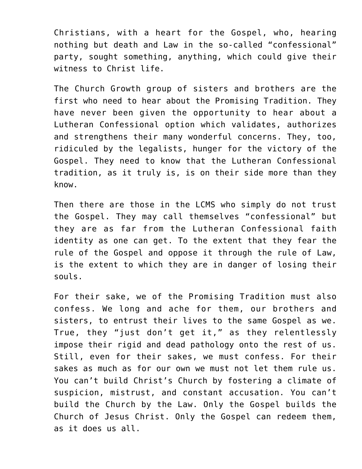Christians, with a heart for the Gospel, who, hearing nothing but death and Law in the so-called "confessional" party, sought something, anything, which could give their witness to Christ life.

The Church Growth group of sisters and brothers are the first who need to hear about the Promising Tradition. They have never been given the opportunity to hear about a Lutheran Confessional option which validates, authorizes and strengthens their many wonderful concerns. They, too, ridiculed by the legalists, hunger for the victory of the Gospel. They need to know that the Lutheran Confessional tradition, as it truly is, is on their side more than they know.

Then there are those in the LCMS who simply do not trust the Gospel. They may call themselves "confessional" but they are as far from the Lutheran Confessional faith identity as one can get. To the extent that they fear the rule of the Gospel and oppose it through the rule of Law, is the extent to which they are in danger of losing their souls.

For their sake, we of the Promising Tradition must also confess. We long and ache for them, our brothers and sisters, to entrust their lives to the same Gospel as we. True, they "just don't get it," as they relentlessly impose their rigid and dead pathology onto the rest of us. Still, even for their sakes, we must confess. For their sakes as much as for our own we must not let them rule us. You can't build Christ's Church by fostering a climate of suspicion, mistrust, and constant accusation. You can't build the Church by the Law. Only the Gospel builds the Church of Jesus Christ. Only the Gospel can redeem them, as it does us all.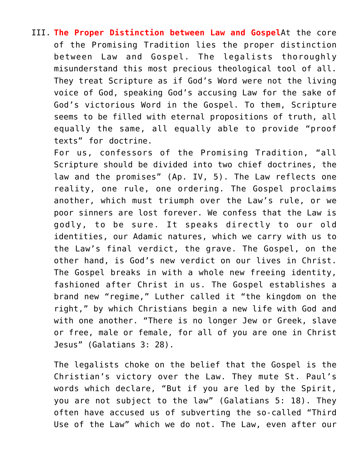III. **The Proper Distinction between Law and Gospel**At the core of the Promising Tradition lies the proper distinction between Law and Gospel. The legalists thoroughly misunderstand this most precious theological tool of all. They treat Scripture as if God's Word were not the living voice of God, speaking God's accusing Law for the sake of God's victorious Word in the Gospel. To them, Scripture seems to be filled with eternal propositions of truth, all equally the same, all equally able to provide "proof texts" for doctrine.

For us, confessors of the Promising Tradition, "all Scripture should be divided into two chief doctrines, the law and the promises" (Ap. IV, 5). The Law reflects one reality, one rule, one ordering. The Gospel proclaims another, which must triumph over the Law's rule, or we poor sinners are lost forever. We confess that the Law is godly, to be sure. It speaks directly to our old identities, our Adamic natures, which we carry with us to the Law's final verdict, the grave. The Gospel, on the other hand, is God's new verdict on our lives in Christ. The Gospel breaks in with a whole new freeing identity, fashioned after Christ in us. The Gospel establishes a brand new "regime," Luther called it "the kingdom on the right," by which Christians begin a new life with God and with one another. "There is no longer Jew or Greek, slave or free, male or female, for all of you are one in Christ Jesus" (Galatians 3: 28).

The legalists choke on the belief that the Gospel is the Christian's victory over the Law. They mute St. Paul's words which declare, "But if you are led by the Spirit, you are not subject to the law" (Galatians 5: 18). They often have accused us of subverting the so-called "Third Use of the Law" which we do not. The Law, even after our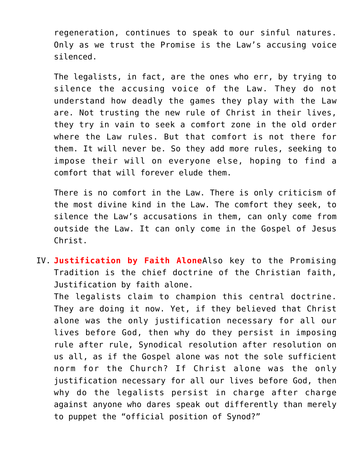regeneration, continues to speak to our sinful natures. Only as we trust the Promise is the Law's accusing voice silenced.

The legalists, in fact, are the ones who err, by trying to silence the accusing voice of the Law. They do not understand how deadly the games they play with the Law are. Not trusting the new rule of Christ in their lives, they try in vain to seek a comfort zone in the old order where the Law rules. But that comfort is not there for them. It will never be. So they add more rules, seeking to impose their will on everyone else, hoping to find a comfort that will forever elude them.

There is no comfort in the Law. There is only criticism of the most divine kind in the Law. The comfort they seek, to silence the Law's accusations in them, can only come from outside the Law. It can only come in the Gospel of Jesus Christ.

IV. **Justification by Faith Alone**Also key to the Promising Tradition is the chief doctrine of the Christian faith, Justification by faith alone.

The legalists claim to champion this central doctrine. They are doing it now. Yet, if they believed that Christ alone was the only justification necessary for all our lives before God, then why do they persist in imposing rule after rule, Synodical resolution after resolution on us all, as if the Gospel alone was not the sole sufficient norm for the Church? If Christ alone was the only justification necessary for all our lives before God, then why do the legalists persist in charge after charge against anyone who dares speak out differently than merely to puppet the "official position of Synod?"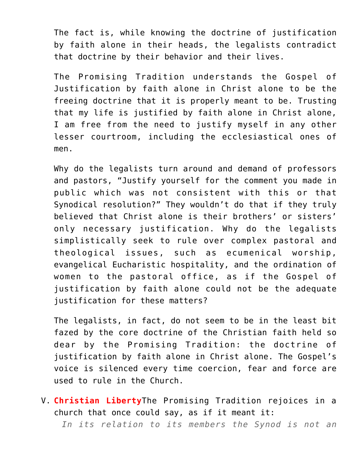The fact is, while knowing the doctrine of justification by faith alone in their heads, the legalists contradict that doctrine by their behavior and their lives.

The Promising Tradition understands the Gospel of Justification by faith alone in Christ alone to be the freeing doctrine that it is properly meant to be. Trusting that my life is justified by faith alone in Christ alone, I am free from the need to justify myself in any other lesser courtroom, including the ecclesiastical ones of men.

Why do the legalists turn around and demand of professors and pastors, "Justify yourself for the comment you made in public which was not consistent with this or that Synodical resolution?" They wouldn't do that if they truly believed that Christ alone is their brothers' or sisters' only necessary justification. Why do the legalists simplistically seek to rule over complex pastoral and theological issues, such as ecumenical worship, evangelical Eucharistic hospitality, and the ordination of women to the pastoral office, as if the Gospel of justification by faith alone could not be the adequate justification for these matters?

The legalists, in fact, do not seem to be in the least bit fazed by the core doctrine of the Christian faith held so dear by the Promising Tradition: the doctrine of justification by faith alone in Christ alone. The Gospel's voice is silenced every time coercion, fear and force are used to rule in the Church.

V. **Christian Liberty**The Promising Tradition rejoices in a church that once could say, as if it meant it:

*In its relation to its members the Synod is not an*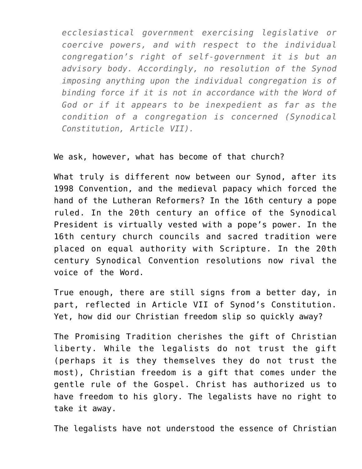*ecclesiastical government exercising legislative or coercive powers, and with respect to the individual congregation's right of self-government it is but an advisory body. Accordingly, no resolution of the Synod imposing anything upon the individual congregation is of binding force if it is not in accordance with the Word of God or if it appears to be inexpedient as far as the condition of a congregation is concerned (Synodical Constitution, Article VII).*

We ask, however, what has become of that church?

What truly is different now between our Synod, after its 1998 Convention, and the medieval papacy which forced the hand of the Lutheran Reformers? In the 16th century a pope ruled. In the 20th century an office of the Synodical President is virtually vested with a pope's power. In the 16th century church councils and sacred tradition were placed on equal authority with Scripture. In the 20th century Synodical Convention resolutions now rival the voice of the Word.

True enough, there are still signs from a better day, in part, reflected in Article VII of Synod's Constitution. Yet, how did our Christian freedom slip so quickly away?

The Promising Tradition cherishes the gift of Christian liberty. While the legalists do not trust the gift (perhaps it is they themselves they do not trust the most), Christian freedom is a gift that comes under the gentle rule of the Gospel. Christ has authorized us to have freedom to his glory. The legalists have no right to take it away.

The legalists have not understood the essence of Christian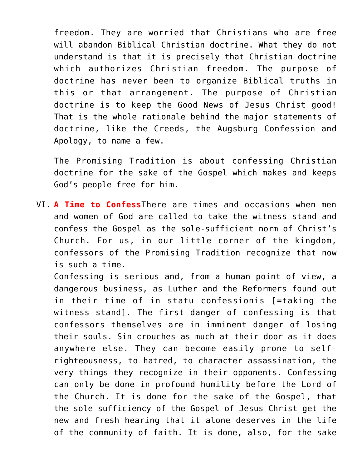freedom. They are worried that Christians who are free will abandon Biblical Christian doctrine. What they do not understand is that it is precisely that Christian doctrine which authorizes Christian freedom. The purpose of doctrine has never been to organize Biblical truths in this or that arrangement. The purpose of Christian doctrine is to keep the Good News of Jesus Christ good! That is the whole rationale behind the major statements of doctrine, like the Creeds, the Augsburg Confession and Apology, to name a few.

The Promising Tradition is about confessing Christian doctrine for the sake of the Gospel which makes and keeps God's people free for him.

VI. **A Time to Confess**There are times and occasions when men and women of God are called to take the witness stand and confess the Gospel as the sole-sufficient norm of Christ's Church. For us, in our little corner of the kingdom, confessors of the Promising Tradition recognize that now is such a time.

Confessing is serious and, from a human point of view, a dangerous business, as Luther and the Reformers found out in their time of in statu confessionis [=taking the witness stand]. The first danger of confessing is that confessors themselves are in imminent danger of losing their souls. Sin crouches as much at their door as it does anywhere else. They can become easily prone to selfrighteousness, to hatred, to character assassination, the very things they recognize in their opponents. Confessing can only be done in profound humility before the Lord of the Church. It is done for the sake of the Gospel, that the sole sufficiency of the Gospel of Jesus Christ get the new and fresh hearing that it alone deserves in the life of the community of faith. It is done, also, for the sake